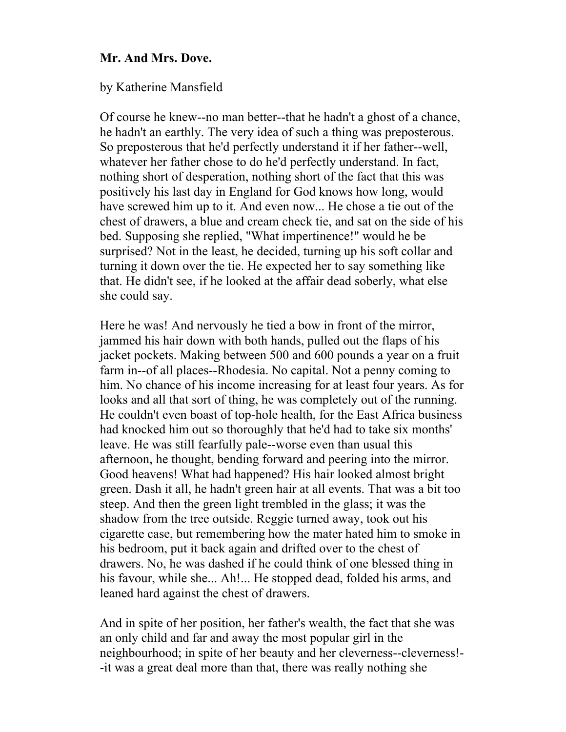## **Mr. And Mrs. Dove.**

by Katherine Mansfield

Of course he knew--no man better--that he hadn't a ghost of a chance, he hadn't an earthly. The very idea of such a thing was preposterous. So preposterous that he'd perfectly understand it if her father--well, whatever her father chose to do he'd perfectly understand. In fact, nothing short of desperation, nothing short of the fact that this was positively his last day in England for God knows how long, would have screwed him up to it. And even now... He chose a tie out of the chest of drawers, a blue and cream check tie, and sat on the side of his bed. Supposing she replied, "What impertinence!" would he be surprised? Not in the least, he decided, turning up his soft collar and turning it down over the tie. He expected her to say something like that. He didn't see, if he looked at the affair dead soberly, what else she could say.

Here he was! And nervously he tied a bow in front of the mirror, jammed his hair down with both hands, pulled out the flaps of his jacket pockets. Making between 500 and 600 pounds a year on a fruit farm in--of all places--Rhodesia. No capital. Not a penny coming to him. No chance of his income increasing for at least four years. As for looks and all that sort of thing, he was completely out of the running. He couldn't even boast of top-hole health, for the East Africa business had knocked him out so thoroughly that he'd had to take six months' leave. He was still fearfully pale--worse even than usual this afternoon, he thought, bending forward and peering into the mirror. Good heavens! What had happened? His hair looked almost bright green. Dash it all, he hadn't green hair at all events. That was a bit too steep. And then the green light trembled in the glass; it was the shadow from the tree outside. Reggie turned away, took out his cigarette case, but remembering how the mater hated him to smoke in his bedroom, put it back again and drifted over to the chest of drawers. No, he was dashed if he could think of one blessed thing in his favour, while she... Ah!... He stopped dead, folded his arms, and leaned hard against the chest of drawers.

And in spite of her position, her father's wealth, the fact that she was an only child and far and away the most popular girl in the neighbourhood; in spite of her beauty and her cleverness--cleverness!- -it was a great deal more than that, there was really nothing she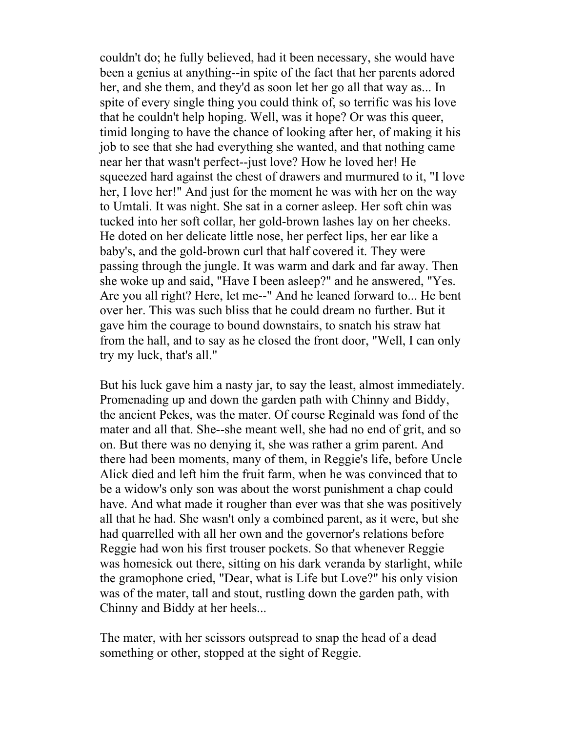couldn't do; he fully believed, had it been necessary, she would have been a genius at anything--in spite of the fact that her parents adored her, and she them, and they'd as soon let her go all that way as... In spite of every single thing you could think of, so terrific was his love that he couldn't help hoping. Well, was it hope? Or was this queer, timid longing to have the chance of looking after her, of making it his job to see that she had everything she wanted, and that nothing came near her that wasn't perfect--just love? How he loved her! He squeezed hard against the chest of drawers and murmured to it, "I love her, I love her!" And just for the moment he was with her on the way to Umtali. It was night. She sat in a corner asleep. Her soft chin was tucked into her soft collar, her gold-brown lashes lay on her cheeks. He doted on her delicate little nose, her perfect lips, her ear like a baby's, and the gold-brown curl that half covered it. They were passing through the jungle. It was warm and dark and far away. Then she woke up and said, "Have I been asleep?" and he answered, "Yes. Are you all right? Here, let me--" And he leaned forward to... He bent over her. This was such bliss that he could dream no further. But it gave him the courage to bound downstairs, to snatch his straw hat from the hall, and to say as he closed the front door, "Well, I can only try my luck, that's all."

But his luck gave him a nasty jar, to say the least, almost immediately. Promenading up and down the garden path with Chinny and Biddy, the ancient Pekes, was the mater. Of course Reginald was fond of the mater and all that. She--she meant well, she had no end of grit, and so on. But there was no denying it, she was rather a grim parent. And there had been moments, many of them, in Reggie's life, before Uncle Alick died and left him the fruit farm, when he was convinced that to be a widow's only son was about the worst punishment a chap could have. And what made it rougher than ever was that she was positively all that he had. She wasn't only a combined parent, as it were, but she had quarrelled with all her own and the governor's relations before Reggie had won his first trouser pockets. So that whenever Reggie was homesick out there, sitting on his dark veranda by starlight, while the gramophone cried, "Dear, what is Life but Love?" his only vision was of the mater, tall and stout, rustling down the garden path, with Chinny and Biddy at her heels...

The mater, with her scissors outspread to snap the head of a dead something or other, stopped at the sight of Reggie.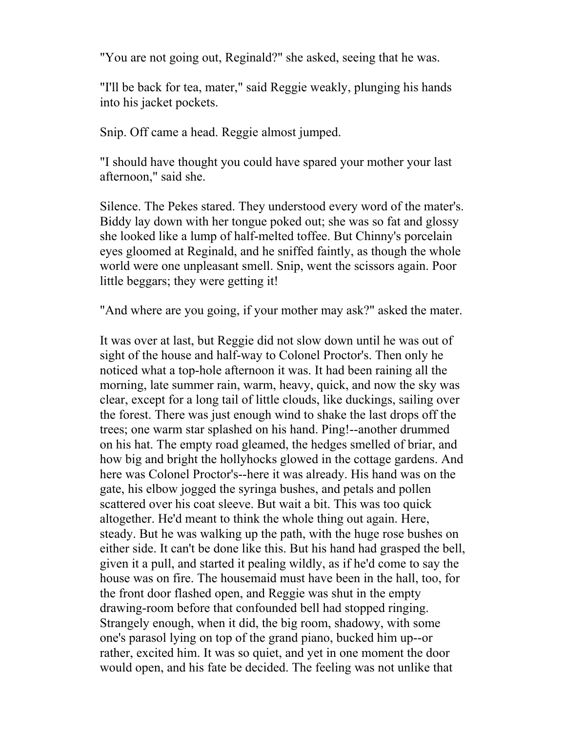"You are not going out, Reginald?" she asked, seeing that he was.

"I'll be back for tea, mater," said Reggie weakly, plunging his hands into his jacket pockets.

Snip. Off came a head. Reggie almost jumped.

"I should have thought you could have spared your mother your last afternoon," said she.

Silence. The Pekes stared. They understood every word of the mater's. Biddy lay down with her tongue poked out; she was so fat and glossy she looked like a lump of half-melted toffee. But Chinny's porcelain eyes gloomed at Reginald, and he sniffed faintly, as though the whole world were one unpleasant smell. Snip, went the scissors again. Poor little beggars; they were getting it!

"And where are you going, if your mother may ask?" asked the mater.

It was over at last, but Reggie did not slow down until he was out of sight of the house and half-way to Colonel Proctor's. Then only he noticed what a top-hole afternoon it was. It had been raining all the morning, late summer rain, warm, heavy, quick, and now the sky was clear, except for a long tail of little clouds, like duckings, sailing over the forest. There was just enough wind to shake the last drops off the trees; one warm star splashed on his hand. Ping!--another drummed on his hat. The empty road gleamed, the hedges smelled of briar, and how big and bright the hollyhocks glowed in the cottage gardens. And here was Colonel Proctor's--here it was already. His hand was on the gate, his elbow jogged the syringa bushes, and petals and pollen scattered over his coat sleeve. But wait a bit. This was too quick altogether. He'd meant to think the whole thing out again. Here, steady. But he was walking up the path, with the huge rose bushes on either side. It can't be done like this. But his hand had grasped the bell, given it a pull, and started it pealing wildly, as if he'd come to say the house was on fire. The housemaid must have been in the hall, too, for the front door flashed open, and Reggie was shut in the empty drawing-room before that confounded bell had stopped ringing. Strangely enough, when it did, the big room, shadowy, with some one's parasol lying on top of the grand piano, bucked him up--or rather, excited him. It was so quiet, and yet in one moment the door would open, and his fate be decided. The feeling was not unlike that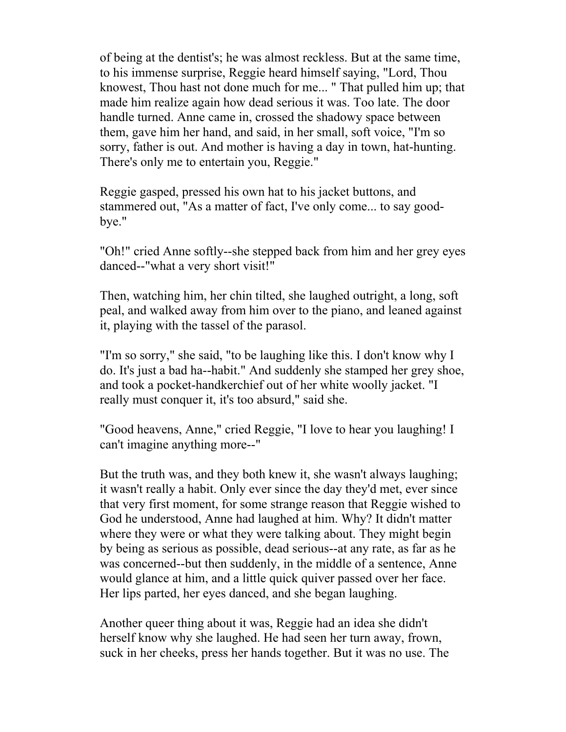of being at the dentist's; he was almost reckless. But at the same time, to his immense surprise, Reggie heard himself saying, "Lord, Thou knowest, Thou hast not done much for me... " That pulled him up; that made him realize again how dead serious it was. Too late. The door handle turned. Anne came in, crossed the shadowy space between them, gave him her hand, and said, in her small, soft voice, "I'm so sorry, father is out. And mother is having a day in town, hat-hunting. There's only me to entertain you, Reggie."

Reggie gasped, pressed his own hat to his jacket buttons, and stammered out, "As a matter of fact, I've only come... to say goodbye."

"Oh!" cried Anne softly--she stepped back from him and her grey eyes danced--"what a very short visit!"

Then, watching him, her chin tilted, she laughed outright, a long, soft peal, and walked away from him over to the piano, and leaned against it, playing with the tassel of the parasol.

"I'm so sorry," she said, "to be laughing like this. I don't know why I do. It's just a bad ha--habit." And suddenly she stamped her grey shoe, and took a pocket-handkerchief out of her white woolly jacket. "I really must conquer it, it's too absurd," said she.

"Good heavens, Anne," cried Reggie, "I love to hear you laughing! I can't imagine anything more--"

But the truth was, and they both knew it, she wasn't always laughing; it wasn't really a habit. Only ever since the day they'd met, ever since that very first moment, for some strange reason that Reggie wished to God he understood, Anne had laughed at him. Why? It didn't matter where they were or what they were talking about. They might begin by being as serious as possible, dead serious--at any rate, as far as he was concerned--but then suddenly, in the middle of a sentence, Anne would glance at him, and a little quick quiver passed over her face. Her lips parted, her eyes danced, and she began laughing.

Another queer thing about it was, Reggie had an idea she didn't herself know why she laughed. He had seen her turn away, frown, suck in her cheeks, press her hands together. But it was no use. The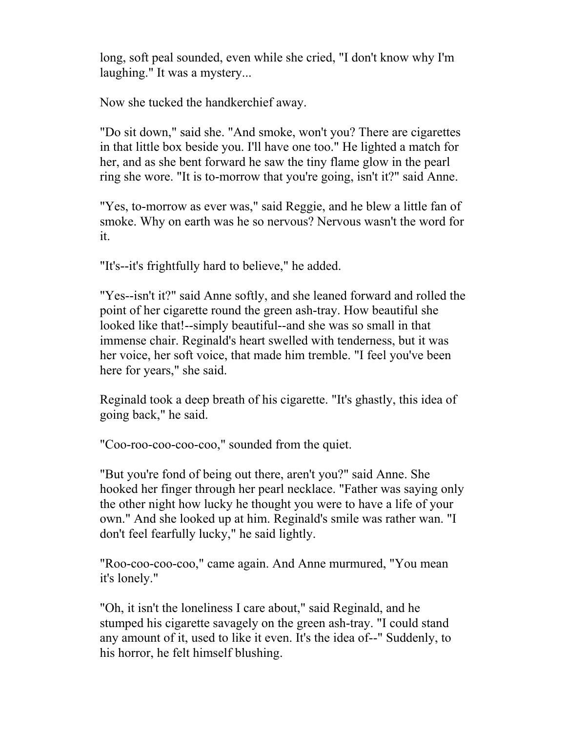long, soft peal sounded, even while she cried, "I don't know why I'm laughing." It was a mystery...

Now she tucked the handkerchief away.

"Do sit down," said she. "And smoke, won't you? There are cigarettes in that little box beside you. I'll have one too." He lighted a match for her, and as she bent forward he saw the tiny flame glow in the pearl ring she wore. "It is to-morrow that you're going, isn't it?" said Anne.

"Yes, to-morrow as ever was," said Reggie, and he blew a little fan of smoke. Why on earth was he so nervous? Nervous wasn't the word for it.

"It's--it's frightfully hard to believe," he added.

"Yes--isn't it?" said Anne softly, and she leaned forward and rolled the point of her cigarette round the green ash-tray. How beautiful she looked like that!--simply beautiful--and she was so small in that immense chair. Reginald's heart swelled with tenderness, but it was her voice, her soft voice, that made him tremble. "I feel you've been here for years," she said.

Reginald took a deep breath of his cigarette. "It's ghastly, this idea of going back," he said.

"Coo-roo-coo-coo-coo," sounded from the quiet.

"But you're fond of being out there, aren't you?" said Anne. She hooked her finger through her pearl necklace. "Father was saying only the other night how lucky he thought you were to have a life of your own." And she looked up at him. Reginald's smile was rather wan. "I don't feel fearfully lucky," he said lightly.

"Roo-coo-coo-coo," came again. And Anne murmured, "You mean it's lonely."

"Oh, it isn't the loneliness I care about," said Reginald, and he stumped his cigarette savagely on the green ash-tray. "I could stand any amount of it, used to like it even. It's the idea of--" Suddenly, to his horror, he felt himself blushing.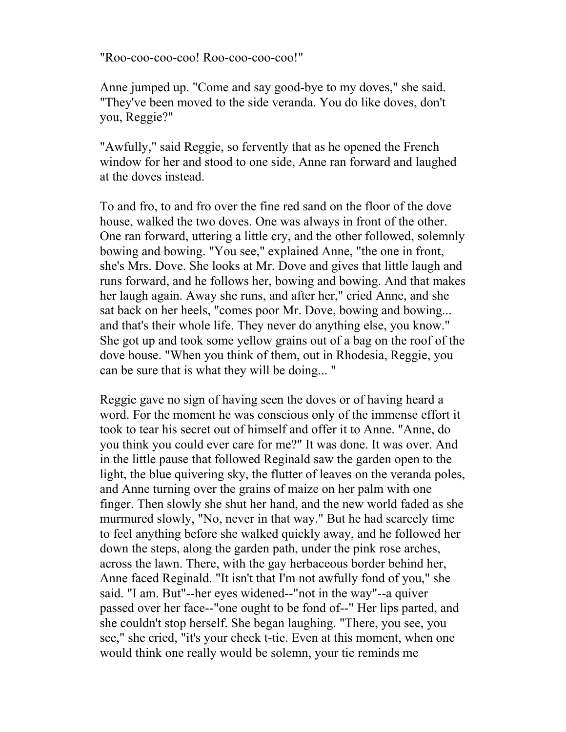"Roo-coo-coo-coo! Roo-coo-coo-coo!"

Anne jumped up. "Come and say good-bye to my doves," she said. "They've been moved to the side veranda. You do like doves, don't you, Reggie?"

"Awfully," said Reggie, so fervently that as he opened the French window for her and stood to one side, Anne ran forward and laughed at the doves instead.

To and fro, to and fro over the fine red sand on the floor of the dove house, walked the two doves. One was always in front of the other. One ran forward, uttering a little cry, and the other followed, solemnly bowing and bowing. "You see," explained Anne, "the one in front, she's Mrs. Dove. She looks at Mr. Dove and gives that little laugh and runs forward, and he follows her, bowing and bowing. And that makes her laugh again. Away she runs, and after her," cried Anne, and she sat back on her heels, "comes poor Mr. Dove, bowing and bowing... and that's their whole life. They never do anything else, you know." She got up and took some yellow grains out of a bag on the roof of the dove house. "When you think of them, out in Rhodesia, Reggie, you can be sure that is what they will be doing... "

Reggie gave no sign of having seen the doves or of having heard a word. For the moment he was conscious only of the immense effort it took to tear his secret out of himself and offer it to Anne. "Anne, do you think you could ever care for me?" It was done. It was over. And in the little pause that followed Reginald saw the garden open to the light, the blue quivering sky, the flutter of leaves on the veranda poles, and Anne turning over the grains of maize on her palm with one finger. Then slowly she shut her hand, and the new world faded as she murmured slowly, "No, never in that way." But he had scarcely time to feel anything before she walked quickly away, and he followed her down the steps, along the garden path, under the pink rose arches, across the lawn. There, with the gay herbaceous border behind her, Anne faced Reginald. "It isn't that I'm not awfully fond of you," she said. "I am. But"--her eyes widened--"not in the way"--a quiver passed over her face--"one ought to be fond of--" Her lips parted, and she couldn't stop herself. She began laughing. "There, you see, you see," she cried, "it's your check t-tie. Even at this moment, when one would think one really would be solemn, your tie reminds me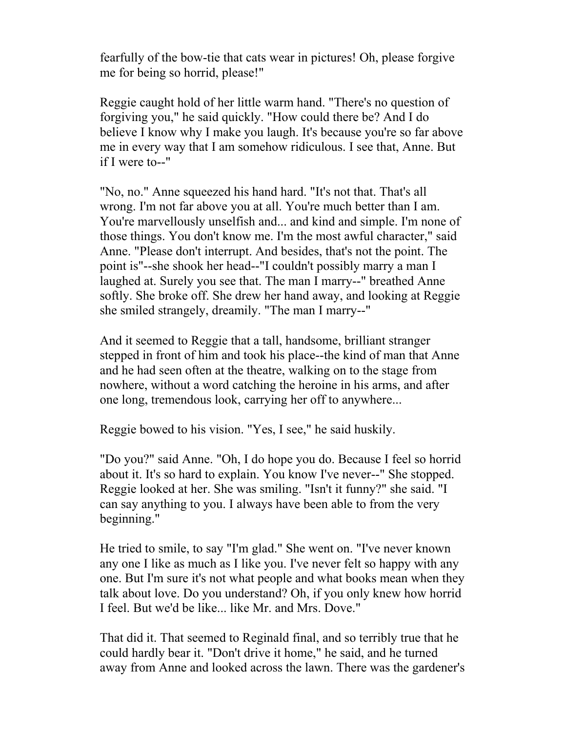fearfully of the bow-tie that cats wear in pictures! Oh, please forgive me for being so horrid, please!"

Reggie caught hold of her little warm hand. "There's no question of forgiving you," he said quickly. "How could there be? And I do believe I know why I make you laugh. It's because you're so far above me in every way that I am somehow ridiculous. I see that, Anne. But if I were to--"

"No, no." Anne squeezed his hand hard. "It's not that. That's all wrong. I'm not far above you at all. You're much better than I am. You're marvellously unselfish and... and kind and simple. I'm none of those things. You don't know me. I'm the most awful character," said Anne. "Please don't interrupt. And besides, that's not the point. The point is"--she shook her head--"I couldn't possibly marry a man I laughed at. Surely you see that. The man I marry--" breathed Anne softly. She broke off. She drew her hand away, and looking at Reggie she smiled strangely, dreamily. "The man I marry--"

And it seemed to Reggie that a tall, handsome, brilliant stranger stepped in front of him and took his place--the kind of man that Anne and he had seen often at the theatre, walking on to the stage from nowhere, without a word catching the heroine in his arms, and after one long, tremendous look, carrying her off to anywhere...

Reggie bowed to his vision. "Yes, I see," he said huskily.

"Do you?" said Anne. "Oh, I do hope you do. Because I feel so horrid about it. It's so hard to explain. You know I've never--" She stopped. Reggie looked at her. She was smiling. "Isn't it funny?" she said. "I can say anything to you. I always have been able to from the very beginning."

He tried to smile, to say "I'm glad." She went on. "I've never known any one I like as much as I like you. I've never felt so happy with any one. But I'm sure it's not what people and what books mean when they talk about love. Do you understand? Oh, if you only knew how horrid I feel. But we'd be like... like Mr. and Mrs. Dove."

That did it. That seemed to Reginald final, and so terribly true that he could hardly bear it. "Don't drive it home," he said, and he turned away from Anne and looked across the lawn. There was the gardener's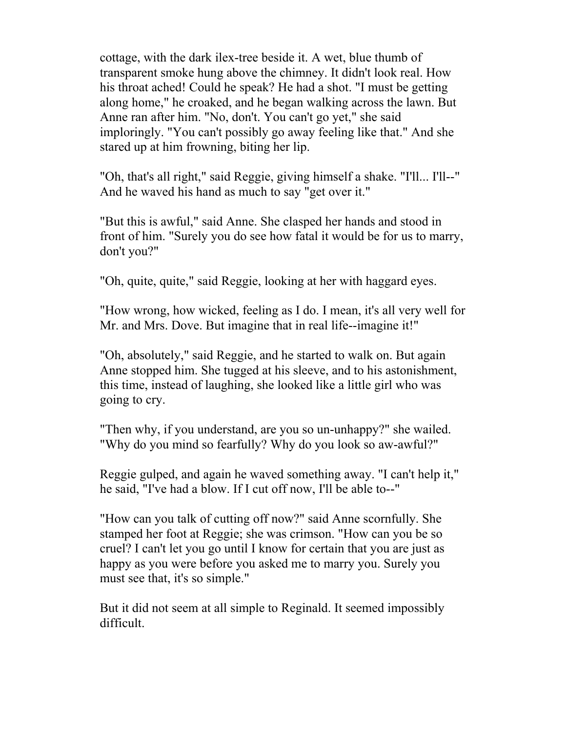cottage, with the dark ilex-tree beside it. A wet, blue thumb of transparent smoke hung above the chimney. It didn't look real. How his throat ached! Could he speak? He had a shot. "I must be getting along home," he croaked, and he began walking across the lawn. But Anne ran after him. "No, don't. You can't go yet," she said imploringly. "You can't possibly go away feeling like that." And she stared up at him frowning, biting her lip.

"Oh, that's all right," said Reggie, giving himself a shake. "I'll... I'll--" And he waved his hand as much to say "get over it."

"But this is awful," said Anne. She clasped her hands and stood in front of him. "Surely you do see how fatal it would be for us to marry, don't you?"

"Oh, quite, quite," said Reggie, looking at her with haggard eyes.

"How wrong, how wicked, feeling as I do. I mean, it's all very well for Mr. and Mrs. Dove. But imagine that in real life--imagine it!"

"Oh, absolutely," said Reggie, and he started to walk on. But again Anne stopped him. She tugged at his sleeve, and to his astonishment, this time, instead of laughing, she looked like a little girl who was going to cry.

"Then why, if you understand, are you so un-unhappy?" she wailed. "Why do you mind so fearfully? Why do you look so aw-awful?"

Reggie gulped, and again he waved something away. "I can't help it," he said, "I've had a blow. If I cut off now, I'll be able to--"

"How can you talk of cutting off now?" said Anne scornfully. She stamped her foot at Reggie; she was crimson. "How can you be so cruel? I can't let you go until I know for certain that you are just as happy as you were before you asked me to marry you. Surely you must see that, it's so simple."

But it did not seem at all simple to Reginald. It seemed impossibly difficult.